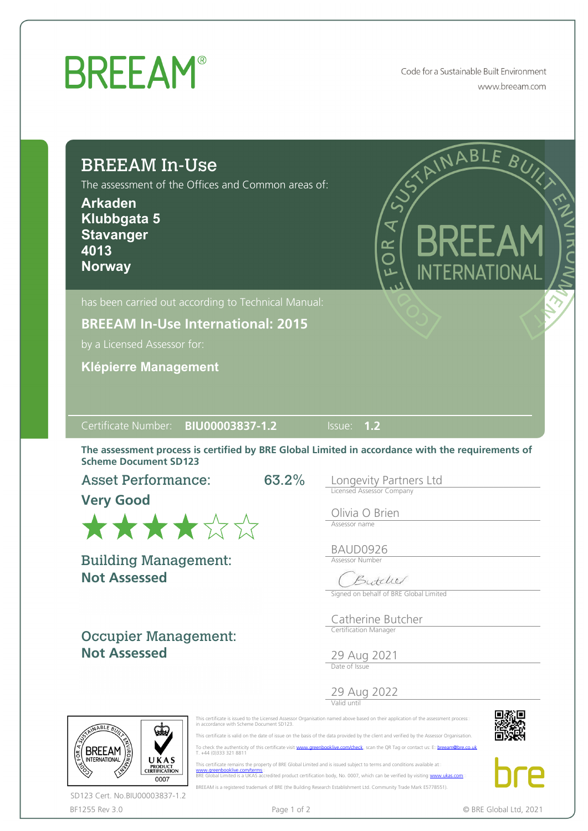## **BREEAM®**

Code for a Sustainable Built Environment www.breeam.com

| <b>BREEAM In-Use</b><br>The assessment of the Offices and Common areas of:<br><b>Arkaden</b><br>Klubbgata 5<br><b>Stavanger</b><br>4013<br><b>Norway</b>                                                      | RINABLE BUY<br>BREEAN<br>OR<br>O<br>INTERNATIONAL   |
|---------------------------------------------------------------------------------------------------------------------------------------------------------------------------------------------------------------|-----------------------------------------------------|
| has been carried out according to Technical Manual:                                                                                                                                                           |                                                     |
| <b>BREEAM In-Use International: 2015</b>                                                                                                                                                                      |                                                     |
| by a Licensed Assessor for:                                                                                                                                                                                   |                                                     |
| <b>Klépierre Management</b>                                                                                                                                                                                   |                                                     |
| Certificate Number: BIU00003837-1.2<br>The assessment process is certified by BRE Global Limited in accordance with the requirements of<br><b>Scheme Document SD123</b><br><b>Asset Performance:</b><br>63.2% | $\overline{\text{Issue:}}$ 1.2                      |
| <b>Very Good</b>                                                                                                                                                                                              | Longevity Partners Ltd<br>Licensed Assessor Company |
| ★★★★☆☆                                                                                                                                                                                                        | Olivia O Brien<br>Assessor name                     |
|                                                                                                                                                                                                               | BAUD0926                                            |
|                                                                                                                                                                                                               | <b>Assessor Number</b>                              |
| <b>Building Management:</b><br><b>Not Assessed</b>                                                                                                                                                            | Butchel<br>Signed on behalf of BRE Global Limited   |
|                                                                                                                                                                                                               | Catherine Butcher                                   |
| <b>Occupier Management:</b><br><b>Not Assessed</b>                                                                                                                                                            | Certification Manager<br>29 Aug 2021                |
|                                                                                                                                                                                                               | 29 Aug 2022                                         |

BF1255 Rev 3.0 **Page 1 of 2** Page 1 of 2 **C** BRE Global Ltd, 2021 SD123 Cert. No.BIU00003837-1.2

BREEAM is a registered trademark of BRE (the Building Research Establishment Ltd. Community Trade Mark E5778551).